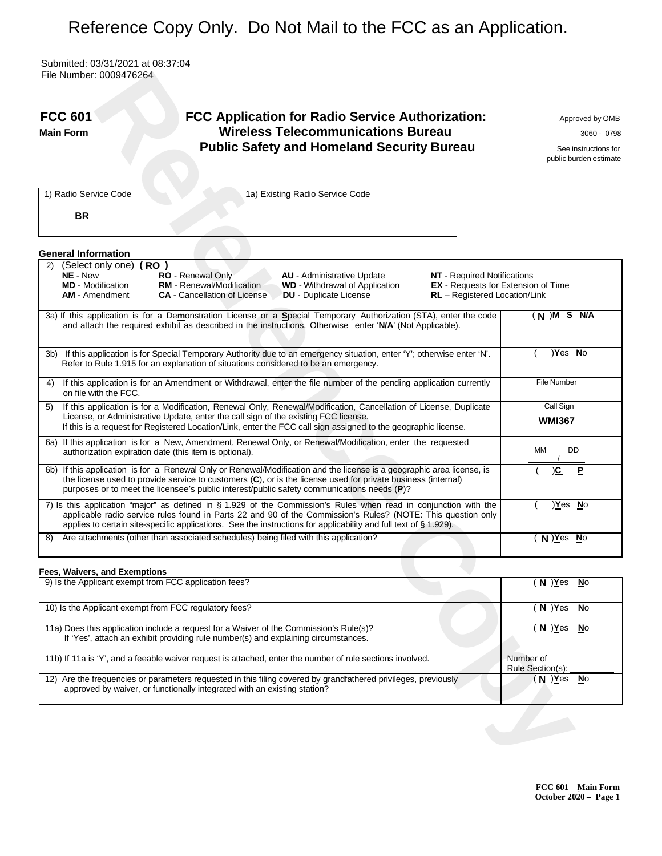# Reference Copy Only. Do Not Mail to the FCC as an Application.

Submitted: 03/31/2021 at 08:37:04 File Number: 0009476264

| <b>FCC 601</b><br><b>Main Form</b>                                                                                          | <b>FCC Application for Radio Service Authorization:</b><br><b>Wireless Telecommunications Bureau</b><br><b>Public Safety and Homeland Security Bureau</b>                                                                                                                                                                                            | Approved by OMB<br>3060 - 0798<br>See instructions for<br>public burden estimate |
|-----------------------------------------------------------------------------------------------------------------------------|------------------------------------------------------------------------------------------------------------------------------------------------------------------------------------------------------------------------------------------------------------------------------------------------------------------------------------------------------|----------------------------------------------------------------------------------|
| 1) Radio Service Code<br><b>BR</b>                                                                                          | 1a) Existing Radio Service Code                                                                                                                                                                                                                                                                                                                      |                                                                                  |
| <b>General Information</b><br>(Select only one) (RO)<br>2)<br>NE - New<br><b>MD</b> - Modification<br><b>AM</b> - Amendment | RO - Renewal Only<br><b>AU</b> - Administrative Update<br><b>NT</b> - Required Notifications<br>RM - Renewal/Modification<br><b>WD</b> - Withdrawal of Application<br><b>CA</b> - Cancellation of License<br><b>DU</b> - Duplicate License<br>RL - Registered Location/Link                                                                          | <b>EX</b> - Requests for Extension of Time                                       |
|                                                                                                                             | 3a) If this application is for a Demonstration License or a Special Temporary Authorization (STA), enter the code<br>and attach the required exhibit as described in the instructions. Otherwise enter 'N/A' (Not Applicable).                                                                                                                       | (N ) <u>M</u> S N/A                                                              |
|                                                                                                                             | 3b) If this application is for Special Temporary Authority due to an emergency situation, enter 'Y'; otherwise enter 'N'.<br>Refer to Rule 1.915 for an explanation of situations considered to be an emergency.                                                                                                                                     | $Yes$ No                                                                         |
| 4)<br>on file with the FCC.                                                                                                 | If this application is for an Amendment or Withdrawal, enter the file number of the pending application currently                                                                                                                                                                                                                                    | <b>File Number</b>                                                               |
| 5)                                                                                                                          | If this application is for a Modification, Renewal Only, Renewal/Modification, Cancellation of License, Duplicate<br>License, or Administrative Update, enter the call sign of the existing FCC license.<br>If this is a request for Registered Location/Link, enter the FCC call sign assigned to the geographic license.                           | Call Sign<br><b>WMI367</b>                                                       |
| authorization expiration date (this item is optional).                                                                      | 6a) If this application is for a New, Amendment, Renewal Only, or Renewal/Modification, enter the requested                                                                                                                                                                                                                                          | MМ<br>DD                                                                         |
|                                                                                                                             | 6b) If this application is for a Renewal Only or Renewal/Modification and the license is a geographic area license, is<br>the license used to provide service to customers (C), or is the license used for private business (internal)<br>purposes or to meet the licensee's public interest/public safety communications needs (P)?                 | <u>)C</u><br>P.                                                                  |
|                                                                                                                             | 7) Is this application "major" as defined in § 1.929 of the Commission's Rules when read in conjunction with the<br>applicable radio service rules found in Parts 22 and 90 of the Commission's Rules? (NOTE: This question only<br>applies to certain site-specific applications. See the instructions for applicability and full text of § 1.929). | )Yes No                                                                          |
| 8)                                                                                                                          | Are attachments (other than associated schedules) being filed with this application?                                                                                                                                                                                                                                                                 | N) Yes No                                                                        |
| <b>Fees, Waivers, and Exemptions</b>                                                                                        |                                                                                                                                                                                                                                                                                                                                                      |                                                                                  |
| 9) Is the Applicant exempt from FCC application fees?                                                                       |                                                                                                                                                                                                                                                                                                                                                      | $(N)$ Yes<br>No                                                                  |
| 10) Is the Applicant exempt from FCC regulatory fees?                                                                       |                                                                                                                                                                                                                                                                                                                                                      | $(N)$ Yes<br>$No$                                                                |
|                                                                                                                             | 11a) Does this application include a request for a Waiver of the Commission's Rule(s)?<br>If 'Yes', attach an exhibit providing rule number(s) and explaining circumstances.                                                                                                                                                                         | $(N)$ Yes<br>No                                                                  |
|                                                                                                                             | 11b) If 11a is 'Y', and a feeable waiver request is attached, enter the number of rule sections involved.                                                                                                                                                                                                                                            | Number of<br>Rule Section(s):                                                    |
|                                                                                                                             | 12) Are the frequencies or parameters requested in this filing covered by grandfathered privileges, previously                                                                                                                                                                                                                                       | $(N)$ Yes<br>$No$                                                                |

## **Fees, Waivers, and Exemptions**

| 9) Is the Applicant exempt from FCC application fees?                                                                                                                                         | $N$ ) Yes<br><b>No</b>        |
|-----------------------------------------------------------------------------------------------------------------------------------------------------------------------------------------------|-------------------------------|
| 10) Is the Applicant exempt from FCC regulatory fees?                                                                                                                                         | $N$ ) Yes<br><b>No</b>        |
| 11a) Does this application include a request for a Waiver of the Commission's Rule(s)?<br>If 'Yes', attach an exhibit providing rule number(s) and explaining circumstances.                  | N )Yes<br><b>No</b>           |
| 11b) If 11a is 'Y', and a feeable waiver request is attached, enter the number of rule sections involved.                                                                                     | Number of<br>Rule Section(s): |
| Are the frequencies or parameters requested in this filing covered by grandfathered privileges, previously<br>12)<br>approved by waiver, or functionally integrated with an existing station? | No<br>N )Yes                  |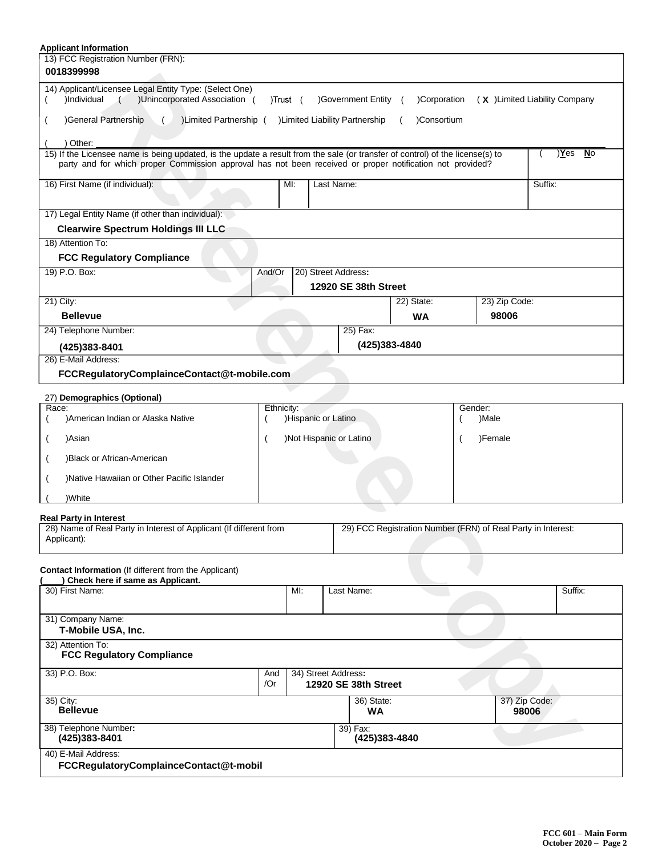| <b>Applicant Information</b>                                                                                                                                                                                                               |                     |                                             |                                                              |               |                               |
|--------------------------------------------------------------------------------------------------------------------------------------------------------------------------------------------------------------------------------------------|---------------------|---------------------------------------------|--------------------------------------------------------------|---------------|-------------------------------|
| 13) FCC Registration Number (FRN):                                                                                                                                                                                                         |                     |                                             |                                                              |               |                               |
| 0018399998                                                                                                                                                                                                                                 |                     |                                             |                                                              |               |                               |
| 14) Applicant/Licensee Legal Entity Type: (Select One)<br>)Unincorporated Association (<br>)Individual                                                                                                                                     | ) Trust (           | )Government Entity                          | )Corporation<br>$\sqrt{ }$                                   |               | (X) Limited Liability Company |
| )Limited Partnership (<br>General Partnership<br>$\sqrt{2}$                                                                                                                                                                                |                     | )Limited Liability Partnership              | )Consortium                                                  |               |                               |
| Other:                                                                                                                                                                                                                                     |                     |                                             |                                                              |               |                               |
| 15) If the Licensee name is being updated, is the update a result from the sale (or transfer of control) of the license(s) to<br>party and for which proper Commission approval has not been received or proper notification not provided? |                     |                                             |                                                              |               | )Yes<br><u>No</u>             |
| 16) First Name (if individual):                                                                                                                                                                                                            | MI:                 | Last Name:                                  |                                                              |               | Suffix:                       |
| 17) Legal Entity Name (if other than individual):                                                                                                                                                                                          |                     |                                             |                                                              |               |                               |
| <b>Clearwire Spectrum Holdings III LLC</b>                                                                                                                                                                                                 |                     |                                             |                                                              |               |                               |
| 18) Attention To:                                                                                                                                                                                                                          |                     |                                             |                                                              |               |                               |
| <b>FCC Regulatory Compliance</b>                                                                                                                                                                                                           |                     |                                             |                                                              |               |                               |
| 19) P.O. Box:                                                                                                                                                                                                                              | And/Or              | 20) Street Address:                         |                                                              |               |                               |
|                                                                                                                                                                                                                                            |                     | 12920 SE 38th Street                        |                                                              |               |                               |
|                                                                                                                                                                                                                                            |                     |                                             |                                                              |               |                               |
| $21)$ City:                                                                                                                                                                                                                                |                     |                                             | 22) State:                                                   | 23) Zip Code: |                               |
| <b>Bellevue</b>                                                                                                                                                                                                                            |                     |                                             | <b>WA</b>                                                    | 98006         |                               |
| 24) Telephone Number:                                                                                                                                                                                                                      |                     | $25)$ Fax:                                  |                                                              |               |                               |
| (425)383-8401                                                                                                                                                                                                                              |                     | (425)383-4840                               |                                                              |               |                               |
| 26) E-Mail Address:                                                                                                                                                                                                                        |                     |                                             |                                                              |               |                               |
| FCCRegulatoryComplainceContact@t-mobile.com                                                                                                                                                                                                |                     |                                             |                                                              |               |                               |
|                                                                                                                                                                                                                                            |                     |                                             |                                                              |               |                               |
| 27) Demographics (Optional)<br>Race:                                                                                                                                                                                                       | Ethnicity:          |                                             |                                                              | Gender:       |                               |
| )American Indian or Alaska Native                                                                                                                                                                                                          | )Hispanic or Latino |                                             |                                                              | )Male         |                               |
| )Asian                                                                                                                                                                                                                                     |                     | )Not Hispanic or Latino                     | $\overline{ }$                                               | )Female       |                               |
| )Black or African-American                                                                                                                                                                                                                 |                     |                                             |                                                              |               |                               |
| )Native Hawaiian or Other Pacific Islander                                                                                                                                                                                                 |                     |                                             |                                                              |               |                               |
| )White                                                                                                                                                                                                                                     |                     |                                             |                                                              |               |                               |
| <b>Real Party in Interest</b>                                                                                                                                                                                                              |                     |                                             |                                                              |               |                               |
| 28) Name of Real Party in Interest of Applicant (If different from<br>Applicant):                                                                                                                                                          |                     |                                             | 29) FCC Registration Number (FRN) of Real Party in Interest: |               |                               |
|                                                                                                                                                                                                                                            |                     |                                             |                                                              |               |                               |
| <b>Contact Information</b> (If different from the Applicant)                                                                                                                                                                               |                     |                                             |                                                              |               |                               |
| Check here if same as Applicant.<br>30) First Name:                                                                                                                                                                                        | MI:                 | Last Name:                                  |                                                              |               | Suffix:                       |
|                                                                                                                                                                                                                                            |                     |                                             |                                                              |               |                               |
| 31) Company Name:<br>T-Mobile USA, Inc.                                                                                                                                                                                                    |                     |                                             |                                                              |               |                               |
| 32) Attention To:<br><b>FCC Regulatory Compliance</b>                                                                                                                                                                                      |                     |                                             |                                                              |               |                               |
| 33) P.O. Box:                                                                                                                                                                                                                              | And<br>/Or          | 34) Street Address:<br>12920 SE 38th Street |                                                              |               |                               |
| 35) City:<br><b>Bellevue</b>                                                                                                                                                                                                               |                     | 36) State:<br><b>WA</b>                     |                                                              |               | 37) Zip Code:<br>98006        |
| 38) Telephone Number:<br>(425)383-8401                                                                                                                                                                                                     |                     | 39) Fax:<br>(425)383-4840                   |                                                              |               |                               |
| 40) E-Mail Address:<br>FCCRegulatoryComplainceContact@t-mobil                                                                                                                                                                              |                     |                                             |                                                              |               |                               |
|                                                                                                                                                                                                                                            |                     |                                             |                                                              |               |                               |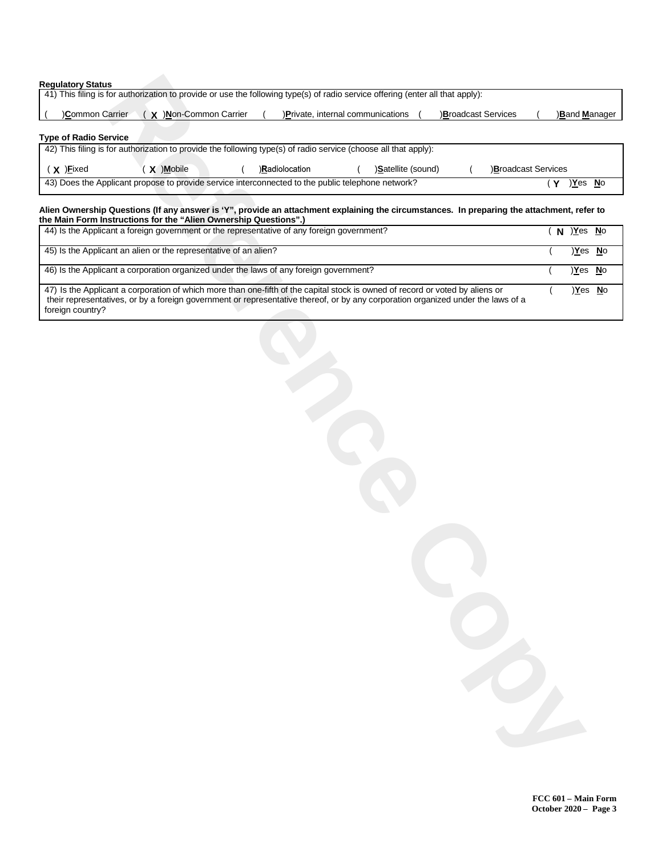# **Regulatory Status**

| <b>Regulatory Status</b><br>41) This filing is for authorization to provide or use the following type(s) of radio service offering (enter all that apply):                                                                                                                            |                   |                       |
|---------------------------------------------------------------------------------------------------------------------------------------------------------------------------------------------------------------------------------------------------------------------------------------|-------------------|-----------------------|
| ( X ) Non-Common Carrier<br>Common Carrier                                                                                                                                                                                                                                            |                   |                       |
| )Private, internal communications<br>Broadcast Services                                                                                                                                                                                                                               |                   | ) <b>Band Manager</b> |
| <b>Type of Radio Service</b>                                                                                                                                                                                                                                                          |                   |                       |
| 42) This filing is for authorization to provide the following type(s) of radio service (choose all that apply):                                                                                                                                                                       |                   |                       |
| $(X)$ Mobile<br>)Radiolocation<br>$(X)$ Eixed<br>)Satellite (sound)<br><b>Broadcast Services</b>                                                                                                                                                                                      |                   |                       |
| 43) Does the Applicant propose to provide service interconnected to the public telephone network?                                                                                                                                                                                     | $(Y)$ Yes No      |                       |
| Alien Ownership Questions (If any answer is 'Y", provide an attachment explaining the circumstances. In preparing the attachment, refer to<br>the Main Form Instructions for the "Alien Ownership Questions".)                                                                        |                   |                       |
| 44) Is the Applicant a foreign government or the representative of any foreign government?                                                                                                                                                                                            | $(N)$ ) $Y$ es No |                       |
| 45) Is the Applicant an alien or the representative of an alien?                                                                                                                                                                                                                      | )Yes No           |                       |
| 46) Is the Applicant a corporation organized under the laws of any foreign government?                                                                                                                                                                                                | <u>)Yes No</u>    |                       |
| 47) Is the Applicant a corporation of which more than one-fifth of the capital stock is owned of record or voted by aliens or<br>their representatives, or by a foreign government or representative thereof, or by any corporation organized under the laws of a<br>foreign country? | )Yes No           |                       |
|                                                                                                                                                                                                                                                                                       |                   |                       |
|                                                                                                                                                                                                                                                                                       |                   |                       |
|                                                                                                                                                                                                                                                                                       |                   |                       |
|                                                                                                                                                                                                                                                                                       |                   |                       |
|                                                                                                                                                                                                                                                                                       |                   |                       |
|                                                                                                                                                                                                                                                                                       |                   |                       |
|                                                                                                                                                                                                                                                                                       |                   |                       |
|                                                                                                                                                                                                                                                                                       |                   |                       |
|                                                                                                                                                                                                                                                                                       |                   |                       |
|                                                                                                                                                                                                                                                                                       |                   |                       |
|                                                                                                                                                                                                                                                                                       |                   |                       |
|                                                                                                                                                                                                                                                                                       |                   |                       |
|                                                                                                                                                                                                                                                                                       |                   |                       |
|                                                                                                                                                                                                                                                                                       |                   |                       |

#### Alien Ownership Questions (If any answer is 'Y", provide an attachment explaining the circumstances. In preparing the attachment, refer to **the Main Form Instructions for the "Alien Ownership Questions".)**

| 44) Is the Applicant a foreign government or the representative of any foreign government?                                                                                                                                                                                            | $N$ ) Yes $N$ o |  |
|---------------------------------------------------------------------------------------------------------------------------------------------------------------------------------------------------------------------------------------------------------------------------------------|-----------------|--|
| 45) Is the Applicant an alien or the representative of an alien?                                                                                                                                                                                                                      | Yes No          |  |
| 46) Is the Applicant a corporation organized under the laws of any foreign government?                                                                                                                                                                                                | Yes No          |  |
| 47) Is the Applicant a corporation of which more than one-fifth of the capital stock is owned of record or voted by aliens or<br>their representatives, or by a foreign government or representative thereof, or by any corporation organized under the laws of a<br>foreign country? | Yes No          |  |

**FCC 601 Main Form October 2020 Page 3**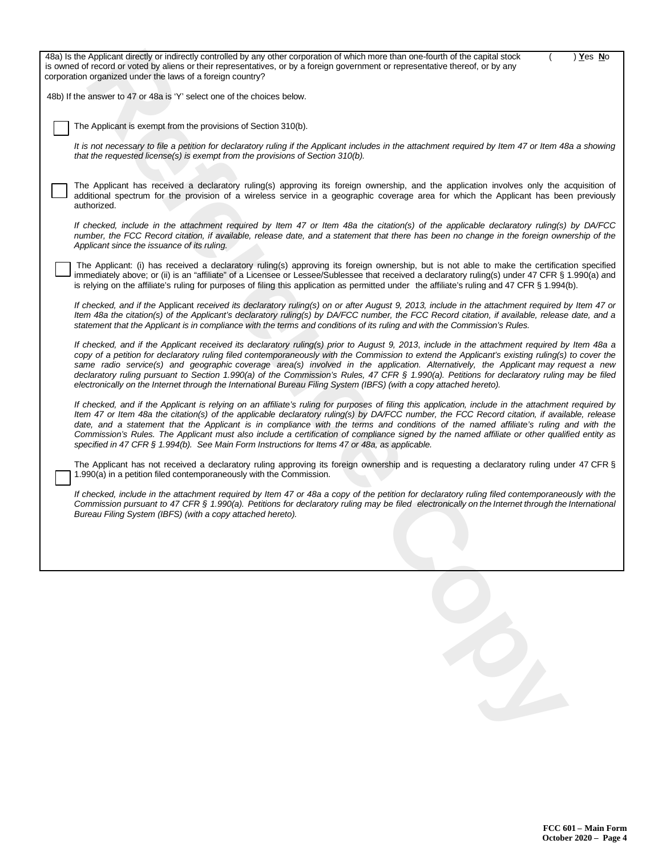483 **Is the Application Copyright Copyright direction** of the capital stock ( ) The Copyright Copyright Copyright Copyright Copyright Copyright Copyright Copyright Copyright Copyright Copyright Copyright Copyright Copyrig is owned of record or voted by aliens or their representatives, or by a foreign government or representative thereof, or by any corporation organized under the laws of a foreign country? 48b) If the answer to 47 or 48a is 'Y' select one of the choices below. The Applicant is exempt from the provisions of Section 310(b). It is not necessary to file a petition for declaratory ruling if the Applicant includes in the attachment required by Item 47 or Item 48a a showing *that the requested license(s) is exempt from the provisions of Section 310(b).* The Applicant has received a declaratory ruling(s) approving its foreign ownership, and the application involves only the acquisition of additional spectrum for the provision of a wireless service in a geographic coverage area for which the Applicant has been previously authorized. If checked, include in the attachment required by Item 47 or Item 48a the citation(s) of the applicable declaratory ruling(s) by DA/FCC number, the FCC Record citation, if available, release date, and a statement that there has been no change in the foreign ownership of the *Applicant since the issuance of its ruling.* The Applicant: (i) has received a declaratory ruling(s) approving its foreign ownership, but is not able to make the certification specified immediately above; or (ii) is an "affiliate" of a Licensee or Lessee/Sublessee that received a declaratory ruling(s) under 47 CFR § 1.990(a) *a*nd is relying on the affiliate's ruling for purposes of filing this application as permitted under the affiliate's ruling and 47 CFR § 1.994(b). If checked, and if the Applicant received its declaratory ruling(s) on or after August 9, 2013, include in the attachment required by Item 47 or Item 48a the citation(s) of the Applicant's declaratory ruling(s) by DA/FCC number, the FCC Record citation, if available, release date, and a statement that the Applicant is in compliance with the terms and conditions of its ruling and with the Commission's Rules. If checked, and if the Applicant received its declaratory ruling(s) prior to August 9, 2013, include in the attachment required by Item 48a a copy of a petition for declaratory ruling filed contemporaneously with the Commission to extend the Applicant's existing ruling(s) to cover the same radio service(s) and geographic coverage area(s) involved in the application. Alternatively, the Applicant may request a new declaratory ruling pursuant to Section 1.990(a) of the Commission's Rules, 47 CFR § 1.990(a). Petitions for declaratory ruling may be filed *electronically on the Internet through the International Bureau Filing System (IBFS) (with a copy attached hereto).* If checked, and if the Applicant is relying on an affiliate's ruling for purposes of filing this application, include in the attachment required by Item 47 or Item 48a the citation(s) of the applicable declaratory ruling(s) by DA/FCC number, the FCC Record citation, if available, release date, and a statement that the Applicant is in compliance with the terms and conditions of the named affiliate's ruling and with the Commission's Rules. The Applicant must also include a certification of compliance signed by the named affiliate or other qualified entity as *specified in 47 CFR § 1.994(b). See Main Form Instructions for Items 47 or 48a, as applicable.* The Applicant has not received a declaratory ruling approving its foreign ownership and is requesting a declaratory ruling under 47 CFR § 1.990(a) in a petition filed contemporaneously with the Commission. If checked, include in the attachment required by Item 47 or 48a a copy of the petition for declaratory ruling filed contemporaneously with the Commission pursuant to 47 CFR § 1.990(a). Petitions for declaratory ruling may be filed electronically on the Internet through the International *Bureau Filing System (IBFS) (with a copy attached hereto).*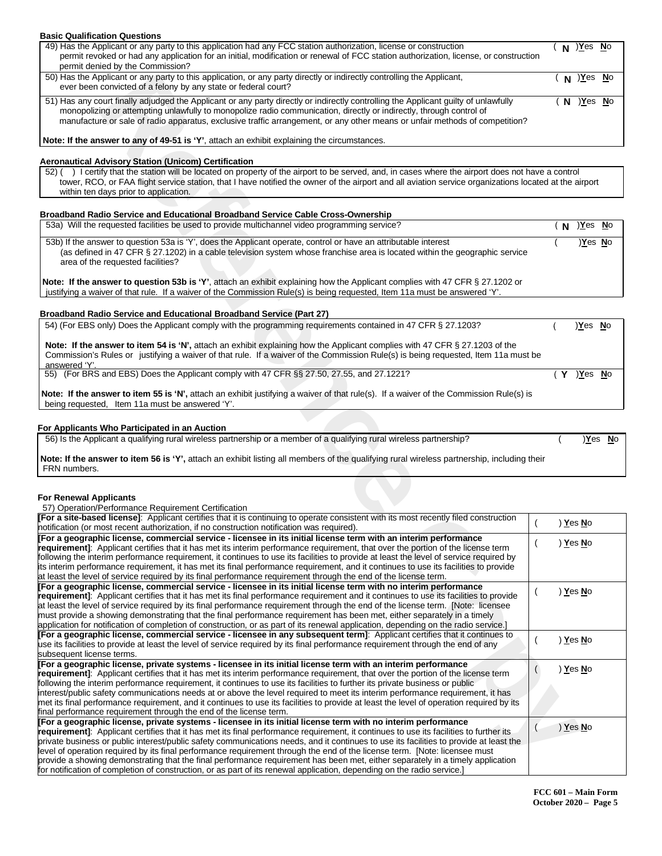| <b>Basic Qualification Questions</b>                                                                                                                                                                                                                                                                                                                                                      |   |                            |  |
|-------------------------------------------------------------------------------------------------------------------------------------------------------------------------------------------------------------------------------------------------------------------------------------------------------------------------------------------------------------------------------------------|---|----------------------------|--|
| 49) Has the Applicant or any party to this application had any FCC station authorization, license or construction<br>permit revoked or had any application for an initial, modification or renewal of FCC station authorization, license, or construction<br>permit denied by the Commission?                                                                                             | N | <u>)Y</u> es <u>N</u> o    |  |
| 50) Has the Applicant or any party to this application, or any party directly or indirectly controlling the Applicant,<br>ever been convicted of a felony by any state or federal court?                                                                                                                                                                                                  |   | N ) <u>Y</u> es <u>N</u> o |  |
| 51) Has any court finally adjudged the Applicant or any party directly or indirectly controlling the Applicant guilty of unlawfully<br>monopolizing or attempting unlawfully to monopolize radio communication, directly or indirectly, through control of<br>manufacture or sale of radio apparatus, exclusive traffic arrangement, or any other means or unfair methods of competition? |   | N Yes No                   |  |
| <b>Note: If the answer to any of 49-51 is 'Y'</b> , attach an exhibit explaining the circumstances.                                                                                                                                                                                                                                                                                       |   |                            |  |

# **Aeronautical Advisory Station (Unicom) Certification**

# **Broadband Radio Service and Educational Broadband Service Cable Cross-Ownership**

| 53a) Will the requested facilities be used to provide multichannel video programming service?                                                                                                                                                                                       | N | )Yes   | <b>N</b> o |
|-------------------------------------------------------------------------------------------------------------------------------------------------------------------------------------------------------------------------------------------------------------------------------------|---|--------|------------|
| 53b) If the answer to question 53a is 'Y', does the Applicant operate, control or have an attributable interest<br>(as defined in 47 CFR § 27.1202) in a cable television system whose franchise area is located within the geographic service<br>area of the requested facilities? |   | Yes No |            |
| Note: If the answer to question 53b is 'Y', attach an exhibit explaining how the Applicant complies with 47 CFR § 27.1202 or<br>justifying a waiver of that rule. If a waiver of the Commission Rule(s) is being requested, Item 11a must be answered 'Y'.                          |   |        |            |
|                                                                                                                                                                                                                                                                                     |   |        |            |

# **Broadband Radio Service and Educational Broadband Service (Part 27)**

| 54) (For EBS only) Does the Applicant comply with the programming requirements contained in 47 CFR § 27.1203?                                                                                                                                                                             | Yes No   |  |
|-------------------------------------------------------------------------------------------------------------------------------------------------------------------------------------------------------------------------------------------------------------------------------------------|----------|--|
| <b>Note:</b> If the answer to item 54 is 'N', attach an exhibit explaining how the Applicant complies with 47 CFR § 27.1203 of the<br>Commission's Rules or justifying a waiver of that rule. If a waiver of the Commission Rule(s) is being requested, Item 11a must be<br>answered 'Y'. |          |  |
| 55) (For BRS and EBS) Does the Applicant comply with 47 CFR §§ 27.50, 27.55, and 27.1221?                                                                                                                                                                                                 | $Yes$ No |  |
| Note: If the answer to item 55 is 'N', attach an exhibit justifying a waiver of that rule(s). If a waiver of the Commission Rule(s) is<br>being requested. Item 11a must be answered 'Y'.                                                                                                 |          |  |

#### **For Applicants Who Participated in an Auction**

| 56) Is the Applicant a qualifying rural wireless partnership or a member of a qualifying rural wireless partnership?                                       | $Yes$ No |
|------------------------------------------------------------------------------------------------------------------------------------------------------------|----------|
| Note: If the answer to item 56 is 'Y', attach an exhibit listing all members of the qualifying rural wireless partnership, including their<br>FRN numbers. |          |

## **For Renewal Applicants**

| 50) Has the Applicant or any party to this application, or any party directly or indirectly controlling the Applicant,<br>ever been convicted of a felony by any state or federal court?                                                                                                                                                                                                                                                                                                                                                                                                                                                                                                                                                                                                    |                | ( N ) Yes No             |                |
|---------------------------------------------------------------------------------------------------------------------------------------------------------------------------------------------------------------------------------------------------------------------------------------------------------------------------------------------------------------------------------------------------------------------------------------------------------------------------------------------------------------------------------------------------------------------------------------------------------------------------------------------------------------------------------------------------------------------------------------------------------------------------------------------|----------------|--------------------------|----------------|
| 51) Has any court finally adjudged the Applicant or any party directly or indirectly controlling the Applicant guilty of unlawfully<br>monopolizing or attempting unlawfully to monopolize radio communication, directly or indirectly, through control of<br>manufacture or sale of radio apparatus, exclusive traffic arrangement, or any other means or unfair methods of competition?                                                                                                                                                                                                                                                                                                                                                                                                   | $\mathsf{N}$   | Yes No                   |                |
| Note: If the answer to any of 49-51 is 'Y', attach an exhibit explaining the circumstances.                                                                                                                                                                                                                                                                                                                                                                                                                                                                                                                                                                                                                                                                                                 |                |                          |                |
| Aeronautical Advisory Station (Unicom) Certification                                                                                                                                                                                                                                                                                                                                                                                                                                                                                                                                                                                                                                                                                                                                        |                |                          |                |
| 52) () I certify that the station will be located on property of the airport to be served, and, in cases where the airport does not have a control<br>tower, RCO, or FAA flight service station, that I have notified the owner of the airport and all aviation service organizations located at the airport<br>within ten days prior to application.                                                                                                                                                                                                                                                                                                                                                                                                                                       |                |                          |                |
| Broadband Radio Service and Educational Broadband Service Cable Cross-Ownership                                                                                                                                                                                                                                                                                                                                                                                                                                                                                                                                                                                                                                                                                                             |                |                          |                |
| 53a) Will the requested facilities be used to provide multichannel video programming service?                                                                                                                                                                                                                                                                                                                                                                                                                                                                                                                                                                                                                                                                                               | (N)            | <u>Yes</u> No            |                |
| 53b) If the answer to question 53a is 'Y', does the Applicant operate, control or have an attributable interest<br>(as defined in 47 CFR § 27.1202) in a cable television system whose franchise area is located within the geographic service<br>area of the requested facilities?                                                                                                                                                                                                                                                                                                                                                                                                                                                                                                         |                | Yes No                   |                |
| Note: If the answer to question 53b is 'Y', attach an exhibit explaining how the Applicant complies with 47 CFR § 27.1202 or<br>justifying a waiver of that rule. If a waiver of the Commission Rule(s) is being requested, Item 11a must be answered 'Y'.                                                                                                                                                                                                                                                                                                                                                                                                                                                                                                                                  |                |                          |                |
| <b>Broadband Radio Service and Educational Broadband Service (Part 27)</b>                                                                                                                                                                                                                                                                                                                                                                                                                                                                                                                                                                                                                                                                                                                  |                |                          |                |
| 54) (For EBS only) Does the Applicant comply with the programming requirements contained in 47 CFR § 27.1203?                                                                                                                                                                                                                                                                                                                                                                                                                                                                                                                                                                                                                                                                               |                | <u>)Yes No</u>           |                |
| Note: If the answer to item 54 is 'N', attach an exhibit explaining how the Applicant complies with 47 CFR § 27.1203 of the<br>Commission's Rules or justifying a waiver of that rule. If a waiver of the Commission Rule(s) is being requested, Item 11a must be<br>answered 'Y'                                                                                                                                                                                                                                                                                                                                                                                                                                                                                                           |                |                          |                |
| 55) (For BRS and EBS) Does the Applicant comply with 47 CFR §§ 27.50, 27.55, and 27.1221?                                                                                                                                                                                                                                                                                                                                                                                                                                                                                                                                                                                                                                                                                                   | Y              | )Yes No                  |                |
| Note: If the answer to item 55 is 'N', attach an exhibit justifying a waiver of that rule(s). If a waiver of the Commission Rule(s) is<br>being requested, Item 11a must be answered 'Y'.                                                                                                                                                                                                                                                                                                                                                                                                                                                                                                                                                                                                   |                |                          |                |
|                                                                                                                                                                                                                                                                                                                                                                                                                                                                                                                                                                                                                                                                                                                                                                                             |                |                          |                |
| For Applicants Who Participated in an Auction<br>56) Is the Applicant a qualifying rural wireless partnership or a member of a qualifying rural wireless partnership?                                                                                                                                                                                                                                                                                                                                                                                                                                                                                                                                                                                                                       |                |                          | <u>)Yes No</u> |
| Note: If the answer to item 56 is 'Y', attach an exhibit listing all members of the qualifying rural wireless partnership, including their<br>FRN numbers.                                                                                                                                                                                                                                                                                                                                                                                                                                                                                                                                                                                                                                  |                |                          |                |
|                                                                                                                                                                                                                                                                                                                                                                                                                                                                                                                                                                                                                                                                                                                                                                                             |                |                          |                |
| <b>For Renewal Applicants</b>                                                                                                                                                                                                                                                                                                                                                                                                                                                                                                                                                                                                                                                                                                                                                               |                |                          |                |
| 57) Operation/Performance Requirement Certification                                                                                                                                                                                                                                                                                                                                                                                                                                                                                                                                                                                                                                                                                                                                         |                |                          |                |
| [For a site-based license]: Applicant certifies that it is continuing to operate consistent with its most recently filed construction                                                                                                                                                                                                                                                                                                                                                                                                                                                                                                                                                                                                                                                       |                | ) <u>Y</u> es <u>N</u> o |                |
| notification (or most recent authorization, if no construction notification was required).<br>[For a geographic license, commercial service - licensee in its initial license term with an interim performance                                                                                                                                                                                                                                                                                                                                                                                                                                                                                                                                                                              |                |                          |                |
| requirement]: Applicant certifies that it has met its interim performance requirement, that over the portion of the license term<br>following the interim performance requirement, it continues to use its facilities to provide at least the level of service required by<br>lits interim performance requirement, it has met its final performance requirement, and it continues to use its facilities to provide<br>at least the level of service required by its final performance requirement through the end of the license term.                                                                                                                                                                                                                                                     |                | ) <u>Y</u> es <u>N</u> o |                |
| [For a geographic license, commercial service - licensee in its initial license term with no interim performance<br><b>requirement</b> ]: Applicant certifies that it has met its final performance requirement and it continues to use its facilities to provide<br>at least the level of service required by its final performance requirement through the end of the license term. [Note: licensee<br>must provide a showing demonstrating that the final performance requirement has been met, either separately in a timely<br>application for notification of completion of construction, or as part of its renewal application, depending on the radio service.                                                                                                                      | $\overline{ }$ | ) Yes No                 |                |
| [For a geographic license, commercial service - licensee in any subsequent term]: Applicant certifies that it continues to<br>use its facilities to provide at least the level of service required by its final performance requirement through the end of any<br>subsequent license terms.                                                                                                                                                                                                                                                                                                                                                                                                                                                                                                 |                | ) <u>Y</u> es <u>N</u> o |                |
| [For a geographic license, private systems - licensee in its initial license term with an interim performance<br><b>requirement</b> ]: Applicant certifies that it has met its interim performance requirement, that over the portion of the license term<br>ffollowing the interim performance requirement, it continues to use its facilities to further its private business or public<br>interest/public safety communications needs at or above the level required to meet its interim performance requirement, it has<br>met its final performance requirement, and it continues to use its facilities to provide at least the level of operation required by its<br>final performance requirement through the end of the license term.                                               | $\overline{ }$ | ) Yes No                 |                |
| [For a geographic license, private systems - licensee in its initial license term with no interim performance<br>requirement]: Applicant certifies that it has met its final performance requirement, it continues to use its facilities to further its<br>private business or public interest/public safety communications needs, and it continues to use its facilities to provide at least the<br>level of operation required by its final performance requirement through the end of the license term. [Note: licensee must<br>provide a showing demonstrating that the final performance requirement has been met, either separately in a timely application<br>for notification of completion of construction, or as part of its renewal application, depending on the radio service. |                | ) Yes No                 |                |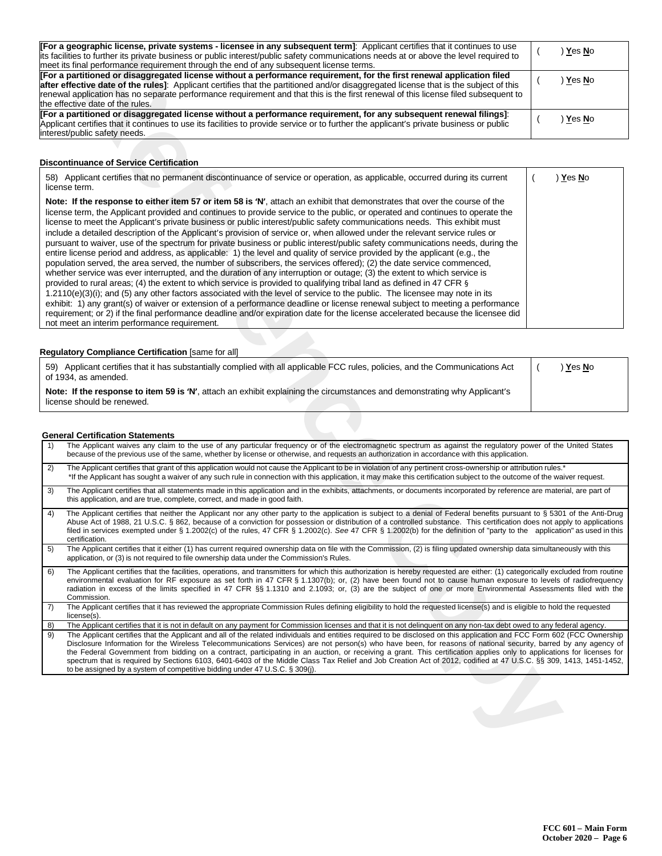| [For a geographic license, private systems - licensee in any subsequent term]: Applicant certifies that it continues to use<br>lits facilities to further its private business or public interest/public safety communications needs at or above the level required to<br>meet its final performance requirement through the end of any subsequent license terms.                                                                         | ) Yes <b>N</b> o         |
|-------------------------------------------------------------------------------------------------------------------------------------------------------------------------------------------------------------------------------------------------------------------------------------------------------------------------------------------------------------------------------------------------------------------------------------------|--------------------------|
| [For a partitioned or disaggregated license without a performance reguirement, for the first renewal application filed<br>after effective date of the rules]: Applicant certifies that the partitioned and/or disaggregated license that is the subject of this<br>renewal application has no separate performance requirement and that this is the first renewal of this license filed subsequent to<br>the effective date of the rules. | ) <u>Y</u> es <u>N</u> o |
| [For a partitioned or disaggregated license without a performance requirement, for any subsequent renewal filings]:<br>Applicant certifies that it continues to use its facilities to provide service or to further the applicant's private business or public<br>interest/public safety needs.                                                                                                                                           | Yes No                   |

# **Discontinuance of Service Certification**

| 58) Applicant certifies that no permanent discontinuance of service or operation, as applicable, occurred during its current<br>license term.                                                                                                                                                                                                                                                                                                                                                                                                                                                                                                                                                                                                                                                                                                                                                                                                                                                                                                                                                                                                                                                                                                                                                                                                                                                                                                                                                                                                                                                                             | ∣ Yes No |  |
|---------------------------------------------------------------------------------------------------------------------------------------------------------------------------------------------------------------------------------------------------------------------------------------------------------------------------------------------------------------------------------------------------------------------------------------------------------------------------------------------------------------------------------------------------------------------------------------------------------------------------------------------------------------------------------------------------------------------------------------------------------------------------------------------------------------------------------------------------------------------------------------------------------------------------------------------------------------------------------------------------------------------------------------------------------------------------------------------------------------------------------------------------------------------------------------------------------------------------------------------------------------------------------------------------------------------------------------------------------------------------------------------------------------------------------------------------------------------------------------------------------------------------------------------------------------------------------------------------------------------------|----------|--|
| Note: If the response to either item 57 or item 58 is 'N', attach an exhibit that demonstrates that over the course of the<br>license term, the Applicant provided and continues to provide service to the public, or operated and continues to operate the<br>license to meet the Applicant's private business or public interest/public safety communications needs. This exhibit must<br>include a detailed description of the Applicant's provision of service or, when allowed under the relevant service rules or<br>pursuant to waiver, use of the spectrum for private business or public interest/public safety communications needs, during the<br>entire license period and address, as applicable: 1) the level and quality of service provided by the applicant (e.g., the<br>population served, the area served, the number of subscribers, the services offered); (2) the date service commenced,<br>whether service was ever interrupted, and the duration of any interruption or outage; (3) the extent to which service is<br>provided to rural areas; (4) the extent to which service is provided to qualifying tribal land as defined in 47 CFR §<br>1.2110(e)(3)(i); and (5) any other factors associated with the level of service to the public. The licensee may note in its<br>exhibit: 1) any grant(s) of waiver or extension of a performance deadline or license renewal subject to meeting a performance<br>requirement; or 2) if the final performance deadline and/or expiration date for the license accelerated because the licensee did<br>not meet an interim performance requirement. |          |  |

# **Regulatory Compliance Certification** [same for all]

| 59) Applicant certifies that it has substantially complied with all applicable FCC rules, policies, and the Communications Act<br>of 1934. as amended.  | Yes No |
|---------------------------------------------------------------------------------------------------------------------------------------------------------|--------|
| Note: If the response to item 59 is 'N', attach an exhibit explaining the circumstances and demonstrating why Applicant's<br>license should be renewed. |        |

# **General Certification Statements**

|                                                                                                                                                                                                                                                                                                                 | [For a geographic license, private systems - licensee in any subsequent term]: Applicant certifies that it continues to use<br>its facilities to further its private business or public interest/public safety communications needs at or above the level required to                                                                                                                                                                                                                                                                                                                                                                                                                                                                                                                                                                                                                                                                                                                                                                                                                                                                                                                                                                                                                                                                                                                                                                                                                                                                                                                                                     |                | ) Yes No |  |  |
|-----------------------------------------------------------------------------------------------------------------------------------------------------------------------------------------------------------------------------------------------------------------------------------------------------------------|---------------------------------------------------------------------------------------------------------------------------------------------------------------------------------------------------------------------------------------------------------------------------------------------------------------------------------------------------------------------------------------------------------------------------------------------------------------------------------------------------------------------------------------------------------------------------------------------------------------------------------------------------------------------------------------------------------------------------------------------------------------------------------------------------------------------------------------------------------------------------------------------------------------------------------------------------------------------------------------------------------------------------------------------------------------------------------------------------------------------------------------------------------------------------------------------------------------------------------------------------------------------------------------------------------------------------------------------------------------------------------------------------------------------------------------------------------------------------------------------------------------------------------------------------------------------------------------------------------------------------|----------------|----------|--|--|
|                                                                                                                                                                                                                                                                                                                 | meet its final performance requirement through the end of any subsequent license terms.<br>[For a partitioned or disaggregated license without a performance requirement, for the first renewal application filed                                                                                                                                                                                                                                                                                                                                                                                                                                                                                                                                                                                                                                                                                                                                                                                                                                                                                                                                                                                                                                                                                                                                                                                                                                                                                                                                                                                                         |                |          |  |  |
| after effective date of the rules]: Applicant certifies that the partitioned and/or disaggregated license that is the subject of this<br>renewal application has no separate performance requirement and that this is the first renewal of this license filed subsequent to<br>the effective date of the rules. | $\overline{(}$                                                                                                                                                                                                                                                                                                                                                                                                                                                                                                                                                                                                                                                                                                                                                                                                                                                                                                                                                                                                                                                                                                                                                                                                                                                                                                                                                                                                                                                                                                                                                                                                            | ) Yes No       |          |  |  |
|                                                                                                                                                                                                                                                                                                                 | [For a partitioned or disaggregated license without a performance requirement, for any subsequent renewal filings]:<br>Applicant certifies that it continues to use its facilities to provide service or to further the applicant's private business or public<br>interest/public safety needs.                                                                                                                                                                                                                                                                                                                                                                                                                                                                                                                                                                                                                                                                                                                                                                                                                                                                                                                                                                                                                                                                                                                                                                                                                                                                                                                           | $\overline{(}$ | ) Yes No |  |  |
|                                                                                                                                                                                                                                                                                                                 |                                                                                                                                                                                                                                                                                                                                                                                                                                                                                                                                                                                                                                                                                                                                                                                                                                                                                                                                                                                                                                                                                                                                                                                                                                                                                                                                                                                                                                                                                                                                                                                                                           |                |          |  |  |
|                                                                                                                                                                                                                                                                                                                 | <b>Discontinuance of Service Certification</b>                                                                                                                                                                                                                                                                                                                                                                                                                                                                                                                                                                                                                                                                                                                                                                                                                                                                                                                                                                                                                                                                                                                                                                                                                                                                                                                                                                                                                                                                                                                                                                            |                |          |  |  |
|                                                                                                                                                                                                                                                                                                                 | 58) Applicant certifies that no permanent discontinuance of service or operation, as applicable, occurred during its current<br>license term.                                                                                                                                                                                                                                                                                                                                                                                                                                                                                                                                                                                                                                                                                                                                                                                                                                                                                                                                                                                                                                                                                                                                                                                                                                                                                                                                                                                                                                                                             | $\overline{(}$ | ) Yes No |  |  |
|                                                                                                                                                                                                                                                                                                                 | Note: If the response to either item 57 or item 58 is 'N', attach an exhibit that demonstrates that over the course of the<br>license term, the Applicant provided and continues to provide service to the public, or operated and continues to operate the<br>license to meet the Applicant's private business or public interest/public safety communications needs. This exhibit must<br>include a detailed description of the Applicant's provision of service or, when allowed under the relevant service rules or<br>pursuant to waiver, use of the spectrum for private business or public interest/public safety communications needs, during the<br>entire license period and address, as applicable: 1) the level and quality of service provided by the applicant (e.g., the<br>population served, the area served, the number of subscribers, the services offered); (2) the date service commenced,<br>whether service was ever interrupted, and the duration of any interruption or outage; (3) the extent to which service is<br>provided to rural areas; (4) the extent to which service is provided to qualifying tribal land as defined in 47 CFR §<br>1.2110(e)(3)(i); and (5) any other factors associated with the level of service to the public. The licensee may note in its<br>exhibit: 1) any grant(s) of waiver or extension of a performance deadline or license renewal subject to meeting a performance<br>requirement; or 2) if the final performance deadline and/or expiration date for the license accelerated because the licensee did<br>not meet an interim performance requirement. |                |          |  |  |
|                                                                                                                                                                                                                                                                                                                 |                                                                                                                                                                                                                                                                                                                                                                                                                                                                                                                                                                                                                                                                                                                                                                                                                                                                                                                                                                                                                                                                                                                                                                                                                                                                                                                                                                                                                                                                                                                                                                                                                           |                |          |  |  |
|                                                                                                                                                                                                                                                                                                                 | Regulatory Compliance Certification [same for all]                                                                                                                                                                                                                                                                                                                                                                                                                                                                                                                                                                                                                                                                                                                                                                                                                                                                                                                                                                                                                                                                                                                                                                                                                                                                                                                                                                                                                                                                                                                                                                        |                |          |  |  |
|                                                                                                                                                                                                                                                                                                                 | 59) Applicant certifies that it has substantially complied with all applicable FCC rules, policies, and the Communications Act<br>of 1934, as amended.                                                                                                                                                                                                                                                                                                                                                                                                                                                                                                                                                                                                                                                                                                                                                                                                                                                                                                                                                                                                                                                                                                                                                                                                                                                                                                                                                                                                                                                                    |                | ) Yes No |  |  |
|                                                                                                                                                                                                                                                                                                                 | Note: If the response to item 59 is 'N', attach an exhibit explaining the circumstances and demonstrating why Applicant's<br>license should be renewed.                                                                                                                                                                                                                                                                                                                                                                                                                                                                                                                                                                                                                                                                                                                                                                                                                                                                                                                                                                                                                                                                                                                                                                                                                                                                                                                                                                                                                                                                   |                |          |  |  |
|                                                                                                                                                                                                                                                                                                                 |                                                                                                                                                                                                                                                                                                                                                                                                                                                                                                                                                                                                                                                                                                                                                                                                                                                                                                                                                                                                                                                                                                                                                                                                                                                                                                                                                                                                                                                                                                                                                                                                                           |                |          |  |  |
|                                                                                                                                                                                                                                                                                                                 | <b>General Certification Statements</b>                                                                                                                                                                                                                                                                                                                                                                                                                                                                                                                                                                                                                                                                                                                                                                                                                                                                                                                                                                                                                                                                                                                                                                                                                                                                                                                                                                                                                                                                                                                                                                                   |                |          |  |  |
| 1)                                                                                                                                                                                                                                                                                                              | The Applicant waives any claim to the use of any particular frequency or of the electromagnetic spectrum as against the regulatory power of the United States<br>because of the previous use of the same, whether by license or otherwise, and requests an authorization in accordance with this application.                                                                                                                                                                                                                                                                                                                                                                                                                                                                                                                                                                                                                                                                                                                                                                                                                                                                                                                                                                                                                                                                                                                                                                                                                                                                                                             |                |          |  |  |
| 2)                                                                                                                                                                                                                                                                                                              | The Applicant certifies that grant of this application would not cause the Applicant to be in violation of any pertinent cross-ownership or attribution rules.*<br>*If the Applicant has sought a waiver of any such rule in connection with this application, it may make this certification subject to the outcome of the waiver request.                                                                                                                                                                                                                                                                                                                                                                                                                                                                                                                                                                                                                                                                                                                                                                                                                                                                                                                                                                                                                                                                                                                                                                                                                                                                               |                |          |  |  |
| 3)                                                                                                                                                                                                                                                                                                              | The Applicant certifies that all statements made in this application and in the exhibits, attachments, or documents incorporated by reference are material, are part of<br>this application, and are true, complete, correct, and made in good faith.                                                                                                                                                                                                                                                                                                                                                                                                                                                                                                                                                                                                                                                                                                                                                                                                                                                                                                                                                                                                                                                                                                                                                                                                                                                                                                                                                                     |                |          |  |  |
| 4)                                                                                                                                                                                                                                                                                                              | The Applicant certifies that neither the Applicant nor any other party to the application is subject to a denial of Federal benefits pursuant to § 5301 of the Anti-Drug<br>Abuse Act of 1988, 21 U.S.C. § 862, because of a conviction for possession or distribution of a controlled substance. This certification does not apply to applications<br>filed in services exempted under § 1.2002(c) of the rules, 47 CFR § 1.2002(c). See 47 CFR § 1.2002(b) for the definition of "party to the application" as used in this<br>certification.                                                                                                                                                                                                                                                                                                                                                                                                                                                                                                                                                                                                                                                                                                                                                                                                                                                                                                                                                                                                                                                                           |                |          |  |  |
| 5)                                                                                                                                                                                                                                                                                                              | The Applicant certifies that it either (1) has current required ownership data on file with the Commission, (2) is filing updated ownership data simultaneously with this<br>application, or (3) is not required to file ownership data under the Commission's Rules.                                                                                                                                                                                                                                                                                                                                                                                                                                                                                                                                                                                                                                                                                                                                                                                                                                                                                                                                                                                                                                                                                                                                                                                                                                                                                                                                                     |                |          |  |  |
| 6)                                                                                                                                                                                                                                                                                                              | The Applicant certifies that the facilities, operations, and transmitters for which this authorization is hereby requested are either: (1) categorically excluded from routine<br>environmental evaluation for RF exposure as set forth in 47 CFR § 1.1307(b); or, (2) have been found not to cause human exposure to levels of radiofrequency<br>radiation in excess of the limits specified in 47 CFR §§ 1.1310 and 2.1093; or, (3) are the subject of one or more Environmental Assessments filed with the<br>Commission.                                                                                                                                                                                                                                                                                                                                                                                                                                                                                                                                                                                                                                                                                                                                                                                                                                                                                                                                                                                                                                                                                              |                |          |  |  |
| 7)                                                                                                                                                                                                                                                                                                              | The Applicant certifies that it has reviewed the appropriate Commission Rules defining eligibility to hold the requested license(s) and is eligible to hold the requested<br>license(s).                                                                                                                                                                                                                                                                                                                                                                                                                                                                                                                                                                                                                                                                                                                                                                                                                                                                                                                                                                                                                                                                                                                                                                                                                                                                                                                                                                                                                                  |                |          |  |  |
| 8)                                                                                                                                                                                                                                                                                                              | The Applicant certifies that it is not in default on any payment for Commission licenses and that it is not delinquent on any non-tax debt owed to any federal agency.                                                                                                                                                                                                                                                                                                                                                                                                                                                                                                                                                                                                                                                                                                                                                                                                                                                                                                                                                                                                                                                                                                                                                                                                                                                                                                                                                                                                                                                    |                |          |  |  |
| 9)                                                                                                                                                                                                                                                                                                              | The Applicant certifies that the Applicant and all of the related individuals and entities required to be disclosed on this application and FCC Form 602 (FCC Ownership<br>Disclosure Information for the Wireless Telecommunications Services) are not person(s) who have been, for reasons of national security, barred by any agency of<br>the Federal Government from bidding on a contract, participating in an auction, or receiving a grant. This certification applies only to applications for licenses for<br>spectrum that is required by Sections 6103, 6401-6403 of the Middle Class Tax Relief and Job Creation Act of 2012, codified at 47 U.S.C. §§ 309, 1413, 1451-1452,<br>to be assigned by a system of competitive bidding under 47 U.S.C. $\S$ 309(j).                                                                                                                                                                                                                                                                                                                                                                                                                                                                                                                                                                                                                                                                                                                                                                                                                                               |                |          |  |  |
|                                                                                                                                                                                                                                                                                                                 |                                                                                                                                                                                                                                                                                                                                                                                                                                                                                                                                                                                                                                                                                                                                                                                                                                                                                                                                                                                                                                                                                                                                                                                                                                                                                                                                                                                                                                                                                                                                                                                                                           |                |          |  |  |
|                                                                                                                                                                                                                                                                                                                 | L                                                                                                                                                                                                                                                                                                                                                                                                                                                                                                                                                                                                                                                                                                                                                                                                                                                                                                                                                                                                                                                                                                                                                                                                                                                                                                                                                                                                                                                                                                                                                                                                                         |                |          |  |  |
|                                                                                                                                                                                                                                                                                                                 |                                                                                                                                                                                                                                                                                                                                                                                                                                                                                                                                                                                                                                                                                                                                                                                                                                                                                                                                                                                                                                                                                                                                                                                                                                                                                                                                                                                                                                                                                                                                                                                                                           |                |          |  |  |
|                                                                                                                                                                                                                                                                                                                 |                                                                                                                                                                                                                                                                                                                                                                                                                                                                                                                                                                                                                                                                                                                                                                                                                                                                                                                                                                                                                                                                                                                                                                                                                                                                                                                                                                                                                                                                                                                                                                                                                           |                |          |  |  |
|                                                                                                                                                                                                                                                                                                                 |                                                                                                                                                                                                                                                                                                                                                                                                                                                                                                                                                                                                                                                                                                                                                                                                                                                                                                                                                                                                                                                                                                                                                                                                                                                                                                                                                                                                                                                                                                                                                                                                                           |                |          |  |  |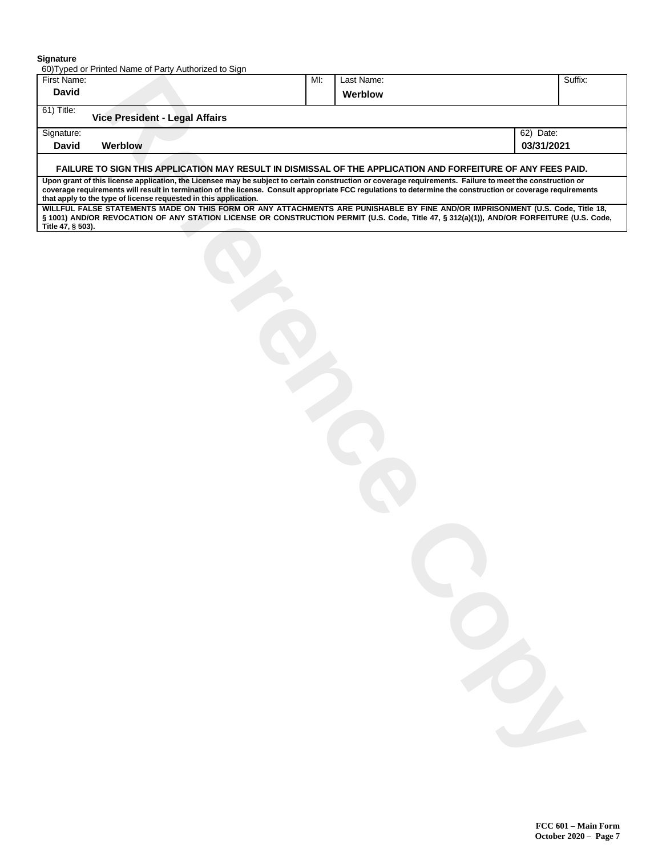#### **Signature**

60)Typed or Printed Name of Party Authorized to Sign

| First Name:                                                                                                                                                                                                                                                                                                                                                                                  |                       | MI: | Last Name: |           | Suffix: |  |
|----------------------------------------------------------------------------------------------------------------------------------------------------------------------------------------------------------------------------------------------------------------------------------------------------------------------------------------------------------------------------------------------|-----------------------|-----|------------|-----------|---------|--|
| David                                                                                                                                                                                                                                                                                                                                                                                        |                       |     | Werblow    |           |         |  |
| 61) Title:<br><b>Vice President - Legal Affairs</b>                                                                                                                                                                                                                                                                                                                                          |                       |     |            |           |         |  |
| Signature:                                                                                                                                                                                                                                                                                                                                                                                   |                       |     |            | 62) Date: |         |  |
| David                                                                                                                                                                                                                                                                                                                                                                                        | Werblow<br>03/31/2021 |     |            |           |         |  |
| FAILURE TO SIGN THIS APPLICATION MAY RESULT IN DISMISSAL OF THE APPLICATION AND FORFEITURE OF ANY FEES PAID.                                                                                                                                                                                                                                                                                 |                       |     |            |           |         |  |
| Upon grant of this license application, the Licensee may be subject to certain construction or coverage requirements. Failure to meet the construction or<br>coverage requirements will result in termination of the license. Consult appropriate FCC regulations to determine the construction or coverage requirements<br>that apply to the type of license requested in this application. |                       |     |            |           |         |  |
| WILLFUL FALSE STATEMENTS MADE ON THIS FORM OR ANY ATTACHMENTS ARE PUNISHABLE BY FINE AND/OR IMPRISONMENT (U.S. Code, Title 18,<br>§ 1001) AND/OR REVOCATION OF ANY STATION LICENSE OR CONSTRUCTION PERMIT (U.S. Code, Title 47, § 312(a)(1)), AND/OR FORFEITURE (U.S. Code,<br>Title 47, § 503).                                                                                             |                       |     |            |           |         |  |

**Reference Copy)**<br> **Reference Copy)**<br> **Reference Copy)**<br> **Reference Copy and Affairs**<br> **Reference Copy)**<br> **Reference Copy and Affairs**<br> **Reference Copy)**<br> **Reference Copy and Affairs**<br> **Reference Copy)**<br> **Reference Copy an**